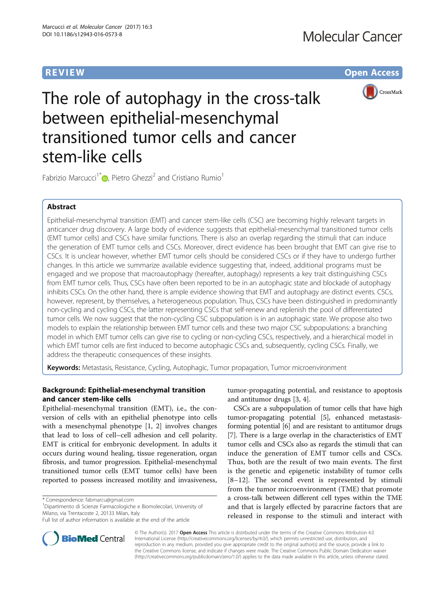**REVIEW CONSTRUCTION CONSTRUCTION CONSTRUCTS** 



The role of autophagy in the cross-talk between epithelial-mesenchymal transitioned tumor cells and cancer stem-like cells

Fabrizio Marcucci<sup>1\*</sup> <sub>(b</sub>[,](http://orcid.org/0000-0002-2977-294X) Pietro Ghezzi<sup>2</sup> and Cristiano Rumio<sup>1</sup>

# Abstract

Epithelial-mesenchymal transition (EMT) and cancer stem-like cells (CSC) are becoming highly relevant targets in anticancer drug discovery. A large body of evidence suggests that epithelial-mesenchymal transitioned tumor cells (EMT tumor cells) and CSCs have similar functions. There is also an overlap regarding the stimuli that can induce the generation of EMT tumor cells and CSCs. Moreover, direct evidence has been brought that EMT can give rise to CSCs. It is unclear however, whether EMT tumor cells should be considered CSCs or if they have to undergo further changes. In this article we summarize available evidence suggesting that, indeed, additional programs must be engaged and we propose that macroautophagy (hereafter, autophagy) represents a key trait distinguishing CSCs from EMT tumor cells. Thus, CSCs have often been reported to be in an autophagic state and blockade of autophagy inhibits CSCs. On the other hand, there is ample evidence showing that EMT and autophagy are distinct events. CSCs, however, represent, by themselves, a heterogeneous population. Thus, CSCs have been distinguished in predominantly non-cycling and cycling CSCs, the latter representing CSCs that self-renew and replenish the pool of differentiated tumor cells. We now suggest that the non-cycling CSC subpopulation is in an autophagic state. We propose also two models to explain the relationship between EMT tumor cells and these two major CSC subpopulations: a branching model in which EMT tumor cells can give rise to cycling or non-cycling CSCs, respectively, and a hierarchical model in which EMT tumor cells are first induced to become autophagic CSCs and, subsequently, cycling CSCs. Finally, we address the therapeutic consequences of these insights.

Keywords: Metastasis, Resistance, Cycling, Autophagic, Tumor propagation, Tumor microenvironment

# Background: Epithelial-mesenchymal transition and cancer stem-like cells

Epithelial-mesenchymal transition (EMT), i.e., the conversion of cells with an epithelial phenotype into cells with a mesenchymal phenotype [\[1](#page-5-0), [2\]](#page-5-0) involves changes that lead to loss of cell–cell adhesion and cell polarity. EMT is critical for embryonic development. In adults it occurs during wound healing, tissue regeneration, organ fibrosis, and tumor progression. Epithelial-mesenchymal transitioned tumor cells (EMT tumor cells) have been reported to possess increased motility and invasiveness,

\* Correspondence: [fabmarcu@gmail.com](mailto:fabmarcu@gmail.com) <sup>1</sup>

<sup>1</sup>Dipartimento di Scienze Farmacologiche e Biomolecolari, University of Milano, via Trentacoste 2, 20133 Milan, Italy

tumor-propagating potential, and resistance to apoptosis and antitumor drugs [\[3](#page-5-0), [4](#page-5-0)].

CSCs are a subpopulation of tumor cells that have high tumor-propagating potential [\[5](#page-5-0)], enhanced metastasisforming potential [\[6\]](#page-5-0) and are resistant to antitumor drugs [[7\]](#page-5-0). There is a large overlap in the characteristics of EMT tumor cells and CSCs also as regards the stimuli that can induce the generation of EMT tumor cells and CSCs. Thus, both are the result of two main events. The first is the genetic and epigenetic instability of tumor cells [[8](#page-5-0)–[12](#page-5-0)]. The second event is represented by stimuli from the tumor microenvironment (TME) that promote a cross-talk between different cell types within the TME and that is largely effected by paracrine factors that are released in response to the stimuli and interact with



© The Author(s). 2017 **Open Access** This article is distributed under the terms of the Creative Commons Attribution 4.0 International License [\(http://creativecommons.org/licenses/by/4.0/](http://creativecommons.org/licenses/by/4.0/)), which permits unrestricted use, distribution, and reproduction in any medium, provided you give appropriate credit to the original author(s) and the source, provide a link to the Creative Commons license, and indicate if changes were made. The Creative Commons Public Domain Dedication waiver [\(http://creativecommons.org/publicdomain/zero/1.0/](http://creativecommons.org/publicdomain/zero/1.0/)) applies to the data made available in this article, unless otherwise stated.

Full list of author information is available at the end of the article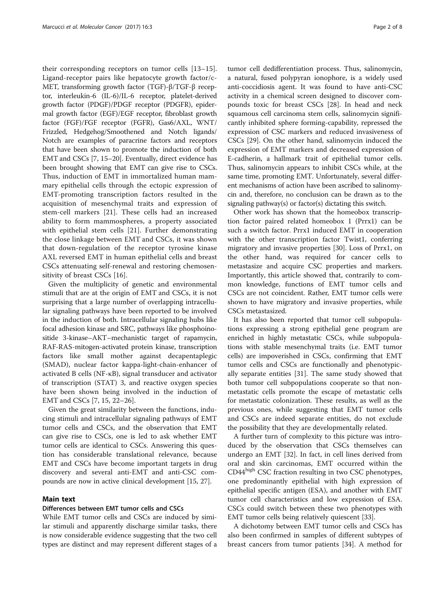their corresponding receptors on tumor cells [\[13](#page-5-0)–[15](#page-5-0)]. Ligand-receptor pairs like hepatocyte growth factor/c-MET, transforming growth factor (TGF)-β/TGF-β receptor, interleukin-6 (IL-6)/IL-6 receptor, platelet-derived growth factor (PDGF)/PDGF receptor (PDGFR), epidermal growth factor (EGF)/EGF receptor, fibroblast growth factor (FGF)/FGF receptor (FGFR), Gas6/AXL, WNT/ Frizzled, Hedgehog/Smoothened and Notch ligands/ Notch are examples of paracrine factors and receptors that have been shown to promote the induction of both EMT and CSCs [\[7, 15](#page-5-0)–[20\]](#page-6-0). Eventually, direct evidence has been brought showing that EMT can give rise to CSCs. Thus, induction of EMT in immortalized human mammary epithelial cells through the ectopic expression of EMT-promoting transcription factors resulted in the acquisition of mesenchymal traits and expression of stem-cell markers [[21\]](#page-6-0). These cells had an increased ability to form mammospheres, a property associated with epithelial stem cells [[21\]](#page-6-0). Further demonstrating the close linkage between EMT and CSCs, it was shown that down-regulation of the receptor tyrosine kinase AXL reversed EMT in human epithelial cells and breast CSCs attenuating self-renewal and restoring chemosensitivity of breast CSCs [\[16](#page-5-0)].

Given the multiplicity of genetic and environmental stimuli that are at the origin of EMT and CSCs, it is not surprising that a large number of overlapping intracellular signaling pathways have been reported to be involved in the induction of both. Intracellular signaling hubs like focal adhesion kinase and SRC, pathways like phosphoinositide 3-kinase–AKT–mechanistic target of rapamycin, RAF-RAS-mitogen-activated protein kinase, transcription factors like small mother against decapentaplegic (SMAD), nuclear factor kappa-light-chain-enhancer of activated B cells (NF-κB), signal transducer and activator of transcription (STAT) 3, and reactive oxygen species have been shown being involved in the induction of EMT and CSCs [[7, 15,](#page-5-0) [22](#page-6-0)–[26](#page-6-0)].

Given the great similarity between the functions, inducing stimuli and intracellular signaling pathways of EMT tumor cells and CSCs, and the observation that EMT can give rise to CSCs, one is led to ask whether EMT tumor cells are identical to CSCs. Answering this question has considerable translational relevance, because EMT and CSCs have become important targets in drug discovery and several anti-EMT and anti-CSC compounds are now in active clinical development [\[15](#page-5-0), [27](#page-6-0)].

# Main text

# Differences between EMT tumor cells and CSCs

While EMT tumor cells and CSCs are induced by similar stimuli and apparently discharge similar tasks, there is now considerable evidence suggesting that the two cell types are distinct and may represent different stages of a tumor cell dedifferentiation process. Thus, salinomycin, a natural, fused polypyran ionophore, is a widely used anti-coccidiosis agent. It was found to have anti-CSC activity in a chemical screen designed to discover compounds toxic for breast CSCs [\[28](#page-6-0)]. In head and neck squamous cell carcinoma stem cells, salinomycin significantly inhibited sphere forming-capability, repressed the expression of CSC markers and reduced invasiveness of CSCs [[29](#page-6-0)]. On the other hand, salinomycin induced the expression of EMT markers and decreased expression of E-cadherin, a hallmark trait of epithelial tumor cells. Thus, salinomycin appears to inhibit CSCs while, at the same time, promoting EMT. Unfortunately, several different mechanisms of action have been ascribed to salinomycin and, therefore, no conclusion can be drawn as to the signaling pathway(s) or factor(s) dictating this switch.

Other work has shown that the homeobox transcription factor paired related homeobox 1 (Prrx1) can be such a switch factor. Prrx1 induced EMT in cooperation with the other transcription factor Twist1, conferring migratory and invasive properties [\[30\]](#page-6-0). Loss of Prrx1, on the other hand, was required for cancer cells to metastasize and acquire CSC properties and markers. Importantly, this article showed that, contrarily to common knowledge, functions of EMT tumor cells and CSCs are not coincident. Rather, EMT tumor cells were shown to have migratory and invasive properties, while CSCs metastasized.

It has also been reported that tumor cell subpopulations expressing a strong epithelial gene program are enriched in highly metastatic CSCs, while subpopulations with stable mesenchymal traits (i.e. EMT tumor cells) are impoverished in CSCs, confirming that EMT tumor cells and CSCs are functionally and phenotypically separate entities [\[31\]](#page-6-0). The same study showed that both tumor cell subpopulations cooperate so that nonmetastatic cells promote the escape of metastatic cells for metastatic colonization. These results, as well as the previous ones, while suggesting that EMT tumor cells and CSCs are indeed separate entities, do not exclude the possibility that they are developmentally related.

A further turn of complexity to this picture was introduced by the observation that CSCs themselves can undergo an EMT [\[32](#page-6-0)]. In fact, in cell lines derived from oral and skin carcinomas, EMT occurred within the CD44<sup>high</sup> CSC fraction resulting in two CSC phenotypes, one predominantly epithelial with high expression of epithelial specific antigen (ESA), and another with EMT tumor cell characteristics and low expression of ESA. CSCs could switch between these two phenotypes with EMT tumor cells being relatively quiescent [[33](#page-6-0)].

A dichotomy between EMT tumor cells and CSCs has also been confirmed in samples of different subtypes of breast cancers from tumor patients [\[34\]](#page-6-0). A method for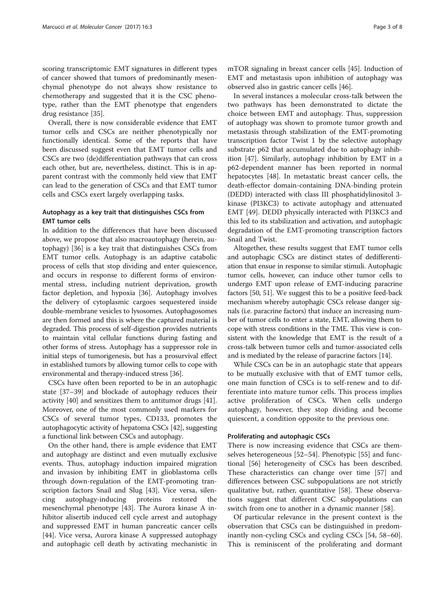scoring transcriptomic EMT signatures in different types of cancer showed that tumors of predominantly mesenchymal phenotype do not always show resistance to chemotherapy and suggested that it is the CSC phenotype, rather than the EMT phenotype that engenders drug resistance [[35](#page-6-0)].

Overall, there is now considerable evidence that EMT tumor cells and CSCs are neither phenotypically nor functionally identical. Some of the reports that have been discussed suggest even that EMT tumor cells and CSCs are two (de)differentiation pathways that can cross each other, but are, nevertheless, distinct. This is in apparent contrast with the commonly held view that EMT can lead to the generation of CSCs and that EMT tumor cells and CSCs exert largely overlapping tasks.

# Autophagy as a key trait that distinguishes CSCs from EMT tumor cells

In addition to the differences that have been discussed above, we propose that also macroautophagy (herein, autophagy) [[36\]](#page-6-0) is a key trait that distinguishes CSCs from EMT tumor cells. Autophagy is an adaptive catabolic process of cells that stop dividing and enter quiescence, and occurs in response to different forms of environmental stress, including nutrient deprivation, growth factor depletion, and hypoxia [[36\]](#page-6-0). Autophagy involves the delivery of cytoplasmic cargoes sequestered inside double-membrane vesicles to lysosomes. Autophagosomes are then formed and this is where the captured material is degraded. This process of self-digestion provides nutrients to maintain vital cellular functions during fasting and other forms of stress. Autophagy has a suppressor role in initial steps of tumorigenesis, but has a prosurvival effect in established tumors by allowing tumor cells to cope with environmental and therapy-induced stress [[36](#page-6-0)].

CSCs have often been reported to be in an autophagic state [\[37](#page-6-0)–[39\]](#page-6-0) and blockade of autophagy reduces their activity [[40\]](#page-6-0) and sensitizes them to antitumor drugs [\[41](#page-6-0)]. Moreover, one of the most commonly used markers for CSCs of several tumor types, CD133, promotes the autophagocytic activity of hepatoma CSCs [\[42](#page-6-0)], suggesting a functional link between CSCs and autophagy.

On the other hand, there is ample evidence that EMT and autophagy are distinct and even mutually exclusive events. Thus, autophagy induction impaired migration and invasion by inhibiting EMT in glioblastoma cells through down-regulation of the EMT-promoting transcription factors Snail and Slug [\[43](#page-6-0)]. Vice versa, silencing autophagy-inducing proteins restored the mesenchymal phenotype [[43\]](#page-6-0). The Aurora kinase A inhibitor alisertib induced cell cycle arrest and autophagy and suppressed EMT in human pancreatic cancer cells [[44\]](#page-6-0). Vice versa, Aurora kinase A suppressed autophagy and autophagic cell death by activating mechanistic in

mTOR signaling in breast cancer cells [\[45\]](#page-6-0). Induction of EMT and metastasis upon inhibition of autophagy was observed also in gastric cancer cells [\[46\]](#page-6-0).

In several instances a molecular cross-talk between the two pathways has been demonstrated to dictate the choice between EMT and autophagy. Thus, suppression of autophagy was shown to promote tumor growth and metastasis through stabilization of the EMT-promoting transcription factor Twist 1 by the selective autophagy substrate p62 that accumulated due to autophagy inhibition [[47\]](#page-6-0). Similarly, autophagy inhibition by EMT in a p62-dependent manner has been reported in normal hepatocytes [\[48](#page-6-0)]. In metastatic breast cancer cells, the death-effector domain-containing DNA-binding protein (DEDD) interacted with class III phosphatidylinositol 3 kinase (PI3KC3) to activate autophagy and attenuated EMT [\[49](#page-6-0)]. DEDD physically interacted with PI3KC3 and this led to its stabilization and activation, and autophagic degradation of the EMT-promoting transcription factors Snail and Twist.

Altogether, these results suggest that EMT tumor cells and autophagic CSCs are distinct states of dedifferentiation that ensue in response to similar stimuli. Autophagic tumor cells, however, can induce other tumor cells to undergo EMT upon release of EMT-inducing paracrine factors [\[50](#page-6-0), [51\]](#page-6-0). We suggest this to be a positive feed-back mechanism whereby autophagic CSCs release danger signals (i.e. paracrine factors) that induce an increasing number of tumor cells to enter a state, EMT, allowing them to cope with stress conditions in the TME. This view is consistent with the knowledge that EMT is the result of a cross-talk between tumor cells and tumor-associated cells and is mediated by the release of paracrine factors [\[14\]](#page-5-0).

While CSCs can be in an autophagic state that appears to be mutually exclusive with that of EMT tumor cells, one main function of CSCs is to self-renew and to differentiate into mature tumor cells. This process implies active proliferation of CSCs. When cells undergo autophagy, however, they stop dividing and become quiescent, a condition opposite to the previous one.

# Proliferating and autophagic CSCs

There is now increasing evidence that CSCs are themselves heterogeneous [[52](#page-6-0)–[54](#page-6-0)]. Phenotypic [[55\]](#page-6-0) and functional [\[56\]](#page-6-0) heterogeneity of CSCs has been described. These characteristics can change over time [[57](#page-6-0)] and differences between CSC subpopulations are not strictly qualitative but, rather, quantitative [\[58](#page-6-0)]. These observations suggest that different CSC subpopulations can switch from one to another in a dynamic manner [\[58](#page-6-0)].

Of particular relevance in the present context is the observation that CSCs can be distinguished in predominantly non-cycling CSCs and cycling CSCs [\[54](#page-6-0), [58](#page-6-0)–[60](#page-6-0)]. This is reminiscent of the proliferating and dormant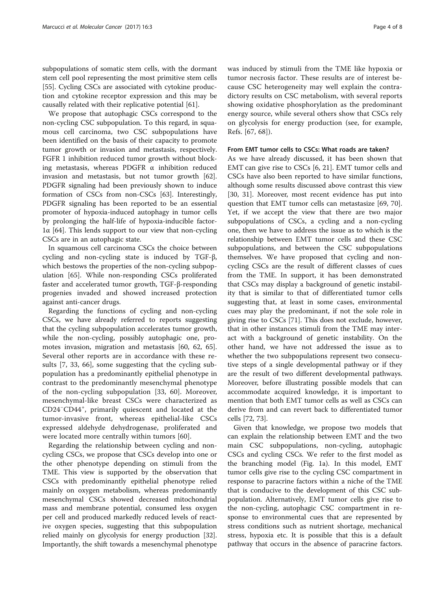subpopulations of somatic stem cells, with the dormant stem cell pool representing the most primitive stem cells [[55\]](#page-6-0). Cycling CSCs are associated with cytokine production and cytokine receptor expression and this may be causally related with their replicative potential [[61\]](#page-6-0).

We propose that autophagic CSCs correspond to the non-cycling CSC subpopulation. To this regard, in squamous cell carcinoma, two CSC subpopulations have been identified on the basis of their capacity to promote tumor growth or invasion and metastasis, respectively. FGFR 1 inhibition reduced tumor growth without blocking metastasis, whereas PDGFR  $\alpha$  inhibition reduced invasion and metastasis, but not tumor growth [\[62](#page-6-0)]. PDGFR signaling had been previously shown to induce formation of CSCs from non-CSCs [\[63](#page-6-0)]. Interestingly, PDGFR signaling has been reported to be an essential promoter of hypoxia-induced autophagy in tumor cells by prolonging the half-life of hypoxia-inducible factor- $1\alpha$  [\[64](#page-7-0)]. This lends support to our view that non-cycling CSCs are in an autophagic state.

In squamous cell carcinoma CSCs the choice between cycling and non-cycling state is induced by TGF-β, which bestows the properties of the non-cycling subpopulation [[65\]](#page-7-0). While non-responding CSCs proliferated faster and accelerated tumor growth, TGF-β-responding progenies invaded and showed increased protection against anti-cancer drugs.

Regarding the functions of cycling and non-cycling CSCs, we have already referred to reports suggesting that the cycling subpopulation accelerates tumor growth, while the non-cycling, possibly autophagic one, promotes invasion, migration and metastasis [[60](#page-6-0), [62](#page-6-0), [65](#page-7-0)]. Several other reports are in accordance with these results [[7,](#page-5-0) [33](#page-6-0), [66](#page-7-0)], some suggesting that the cycling subpopulation has a predominantly epithelial phenotype in contrast to the predominantly mesenchymal phenotype of the non-cycling subpopulation [\[33](#page-6-0), [60\]](#page-6-0). Moreover, mesenchymal-like breast CSCs were characterized as CD24<sup>−</sup> CD44<sup>+</sup> , primarily quiescent and located at the tumor-invasive front, whereas epithelial-like CSCs expressed aldehyde dehydrogenase, proliferated and were located more centrally within tumors [[60\]](#page-6-0).

Regarding the relationship between cycling and noncycling CSCs, we propose that CSCs develop into one or the other phenotype depending on stimuli from the TME. This view is supported by the observation that CSCs with predominantly epithelial phenotype relied mainly on oxygen metabolism, whereas predominantly mesenchymal CSCs showed decreased mitochondrial mass and membrane potential, consumed less oxygen per cell and produced markedly reduced levels of reactive oxygen species, suggesting that this subpopulation relied mainly on glycolysis for energy production [\[32](#page-6-0)]. Importantly, the shift towards a mesenchymal phenotype was induced by stimuli from the TME like hypoxia or tumor necrosis factor. These results are of interest because CSC heterogeneity may well explain the contradictory results on CSC metabolism, with several reports showing oxidative phosphorylation as the predominant energy source, while several others show that CSCs rely on glycolysis for energy production (see, for example, Refs. [[67, 68\]](#page-7-0)).

## From EMT tumor cells to CSCs: What roads are taken?

As we have already discussed, it has been shown that EMT can give rise to CSCs [[6,](#page-5-0) [21\]](#page-6-0). EMT tumor cells and CSCs have also been reported to have similar functions, although some results discussed above contrast this view [[30, 31](#page-6-0)]. Moreover, most recent evidence has put into question that EMT tumor cells can metastasize [\[69, 70](#page-7-0)]. Yet, if we accept the view that there are two major subpopulations of CSCs, a cycling and a non-cycling one, then we have to address the issue as to which is the relationship between EMT tumor cells and these CSC subpopulations, and between the CSC subpopulations themselves. We have proposed that cycling and noncycling CSCs are the result of different classes of cues from the TME. In support, it has been demonstrated that CSCs may display a background of genetic instability that is similar to that of differentiated tumor cells suggesting that, at least in some cases, environmental cues may play the predominant, if not the sole role in giving rise to CSCs [\[71\]](#page-7-0). This does not exclude, however, that in other instances stimuli from the TME may interact with a background of genetic instability. On the other hand, we have not addressed the issue as to whether the two subpopulations represent two consecutive steps of a single developmental pathway or if they are the result of two different developmental pathways. Moreover, before illustrating possible models that can accommodate acquired knowledge, it is important to mention that both EMT tumor cells as well as CSCs can derive from and can revert back to differentiated tumor cells [[72](#page-7-0), [73](#page-7-0)].

Given that knowledge, we propose two models that can explain the relationship between EMT and the two main CSC subpopulations, non-cycling, autophagic CSCs and cycling CSCs. We refer to the first model as the branching model (Fig. [1a\)](#page-4-0). In this model, EMT tumor cells give rise to the cycling CSC compartment in response to paracrine factors within a niche of the TME that is conducive to the development of this CSC subpopulation. Alternatively, EMT tumor cells give rise to the non-cycling, autophagic CSC compartment in response to environmental cues that are represented by stress conditions such as nutrient shortage, mechanical stress, hypoxia etc. It is possible that this is a default pathway that occurs in the absence of paracrine factors.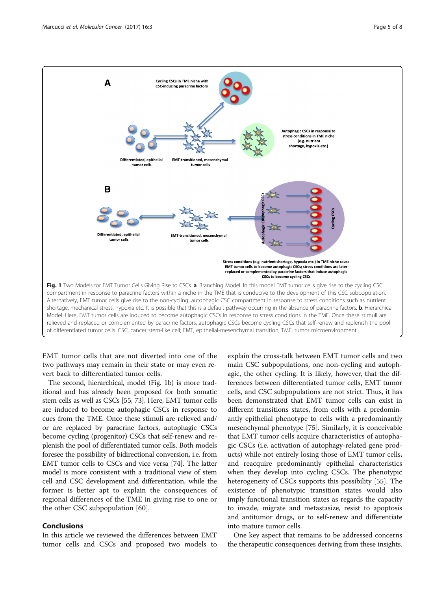<span id="page-4-0"></span>

EMT tumor cells that are not diverted into one of the two pathways may remain in their state or may even revert back to differentiated tumor cells.

The second, hierarchical, model (Fig. 1b) is more traditional and has already been proposed for both somatic stem cells as well as CSCs [[55](#page-6-0), [73\]](#page-7-0). Here, EMT tumor cells are induced to become autophagic CSCs in response to cues from the TME. Once these stimuli are relieved and/ or are replaced by paracrine factors, autophagic CSCs become cycling (progenitor) CSCs that self-renew and replenish the pool of differentiated tumor cells. Both models foresee the possibility of bidirectional conversion, i.e. from EMT tumor cells to CSCs and vice versa [[74\]](#page-7-0). The latter model is more consistent with a traditional view of stem cell and CSC development and differentiation, while the former is better apt to explain the consequences of regional differences of the TME in giving rise to one or the other CSC subpopulation [[60](#page-6-0)].

# Conclusions

In this article we reviewed the differences between EMT tumor cells and CSCs and proposed two models to

explain the cross-talk between EMT tumor cells and two main CSC subpopulations, one non-cycling and autophagic, the other cycling. It is likely, however, that the differences between differentiated tumor cells, EMT tumor cells, and CSC subpopulations are not strict. Thus, it has been demonstrated that EMT tumor cells can exist in different transitions states, from cells with a predominantly epithelial phenotype to cells with a predominantly mesenchymal phenotype [[75](#page-7-0)]. Similarly, it is conceivable that EMT tumor cells acquire characteristics of autophagic CSCs (i.e. activation of autophagy-related gene products) while not entirely losing those of EMT tumor cells, and reacquire predominantly epithelial characteristics when they develop into cycling CSCs. The phenotypic heterogeneity of CSCs supports this possibility [[55\]](#page-6-0). The existence of phenotypic transition states would also imply functional transition states as regards the capacity to invade, migrate and metastasize, resist to apoptosis and antitumor drugs, or to self-renew and differentiate into mature tumor cells.

One key aspect that remains to be addressed concerns the therapeutic consequences deriving from these insights.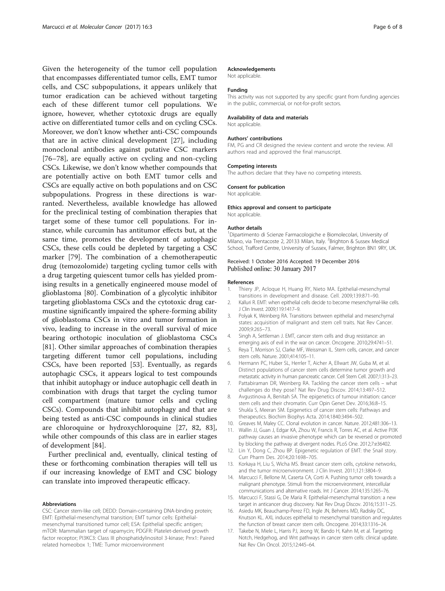<span id="page-5-0"></span>Given the heterogeneity of the tumor cell population that encompasses differentiated tumor cells, EMT tumor cells, and CSC subpopulations, it appears unlikely that tumor eradication can be achieved without targeting each of these different tumor cell populations. We ignore, however, whether cytotoxic drugs are equally active on differentiated tumor cells and on cycling CSCs. Moreover, we don't know whether anti-CSC compounds that are in active clinical development [[27\]](#page-6-0), including monoclonal antibodies against putative CSC markers [[76](#page-7-0)–[78\]](#page-7-0), are equally active on cycling and non-cycling CSCs. Likewise, we don't know whether compounds that are potentially active on both EMT tumor cells and CSCs are equally active on both populations and on CSC subpopulations. Progress in these directions is warranted. Nevertheless, available knowledge has allowed for the preclinical testing of combination therapies that target some of these tumor cell populations. For instance, while curcumin has antitumor effects but, at the same time, promotes the development of autophagic CSCs, these cells could be depleted by targeting a CSC marker [[79](#page-7-0)]. The combination of a chemotherapeutic drug (temozolomide) targeting cycling tumor cells with a drug targeting quiescent tumor cells has yielded promising results in a genetically engineered mouse model of glioblastoma [[80\]](#page-7-0). Combination of a glycolytic inhibitor targeting glioblastoma CSCs and the cytotoxic drug carmustine significantly impaired the sphere-forming ability of glioblastoma CSCs in vitro and tumor formation in vivo, leading to increase in the overall survival of mice bearing orthotopic inoculation of glioblastoma CSCs [[81\]](#page-7-0). Other similar approaches of combination therapies targeting different tumor cell populations, including CSCs, have been reported [\[53](#page-6-0)]. Eventually, as regards autophagic CSCs, it appears logical to test compounds that inhibit autophagy or induce autophagic cell death in combination with drugs that target the cycling tumor cell compartment (mature tumor cells and cycling CSCs). Compounds that inhibit autophagy and that are being tested as anti-CSC compounds in clinical studies are chloroquine or hydroxychloroquine [[27,](#page-6-0) [82, 83](#page-7-0)], while other compounds of this class are in earlier stages of development [\[84](#page-7-0)].

Further preclinical and, eventually, clinical testing of these or forthcoming combination therapies will tell us if our increasing knowledge of EMT and CSC biology can translate into improved therapeutic efficacy.

#### Abbreviations

CSC: Cancer stem-like cell; DEDD: Domain-containing DNA-binding protein; EMT: Epithelial-mesenchymal transition; EMT tumor cells: Epithelialmesenchymal transitioned tumor cell; ESA: Epithelial specific antigen; mTOR: Mammalian target of rapamycin; PDGFR: Platelet-derived growth factor receptor; PI3KC3: Class III phosphatidylinositol 3-kinase; Prrx1: Paired related homeobox 1; TME: Tumor microenvironment

## Acknowledgements

Not applicable.

### Funding

This activity was not supported by any specific grant from funding agencies in the public, commercial, or not-for-profit sectors.

#### Availability of data and materials

Not applicable.

#### Authors' contributions

FM, PG and CR designed the review content and wrote the review. All authors read and approved the final manuscript.

#### Competing interests

The authors declare that they have no competing interests.

#### Consent for publication

Not applicable.

## Ethics approval and consent to participate

Not applicable.

#### Author details

<sup>1</sup>Dipartimento di Scienze Farmacologiche e Biomolecolari, University of Milano, via Trentacoste 2, 20133 Milan, Italy. <sup>2</sup>Brighton & Sussex Medical School, Trafford Centre, University of Sussex, Falmer, Brighton BN1 9RY, UK.

## Received: 1 October 2016 Accepted: 19 December 2016 Published online: 30 January 2017

#### References

- 1. Thiery JP, Acloque H, Huang RY, Nieto MA. Epithelial-mesenchymal transitions in development and disease. Cell. 2009;139:871–90.
- 2. Kalluri R. EMT: when epithelial cells decide to become mesenchymal-like cells. J Clin Invest. 2009;119:1417–9.
- 3. Polyak K, Weinberg RA. Transitions between epithelial and mesenchymal states: acquisition of malignant and stem cell traits. Nat Rev Cancer. 2009;9:265–73.
- 4. Singh A, Settleman J. EMT, cancer stem cells and drug resistance: an emerging axis of evil in the war on cancer. Oncogene. 2010;29:4741–51.
- 5. Reya T, Morrison SJ, Clarke MF, Weissman IL. Stem cells, cancer, and cancer stem cells. Nature. 2001;414:105–11.
- 6. Hermann PC, Huber SL, Herrler T, Aicher A, Ellwart JW, Guba M, et al. Distinct populations of cancer stem cells determine tumor growth and metastatic activity in human pancreatic cancer. Cell Stem Cell. 2007;1:313–23.
- 7. Pattabiraman DR, Weinberg RA. Tackling the cancer stem cells what challenges do they pose? Nat Rev Drug Discov. 2014;13:497–512.
- 8. Avgustinova A, Benitah SA. The epigenetics of tumour initiation: cancer stem cells and their chromatin. Curr Opin Genet Dev. 2016;36:8–15.
- 9. Shukla S, Meeran SM. Epigenetics of cancer stem cells: Pathways and therapeutics. Biochim Biophys Acta. 2014;1840:3494–502.
- 10. Greaves M, Maley CC. Clonal evolution in cancer. Nature. 2012;481:306–13.
- 11. Wallin JJ, Guan J, Edgar KA, Zhou W, Francis R, Torres AC, et al. Active PI3K pathway causes an invasive phenotype which can be reversed or promoted by blocking the pathway at divergent nodes. PLoS One. 2012;7:e36402.
- 12. Lin Y, Dong C, Zhou BP. Epigenetic regulation of EMT: the Snail story. Curr Pharm Des. 2014;20:1698–705.
- 13. Korkaya H, Liu S, Wicha MS. Breast cancer stem cells, cytokine networks, and the tumor microenvironment. J Clin Invest. 2011;121:3804–9.
- 14. Marcucci F, Bellone M, Caserta CA, Corti A. Pushing tumor cells towards a malignant phenotype. Stimuli from the microenvironment, intercellular communications and alternative roads. Int J Cancer. 2014;135:1265–76.
- 15. Marcucci F, Stassi G, De Maria R. Epithelial-mesenchymal transition: a new target in anticancer drug discovery. Nat Rev Drug Discov. 2016;15:311–25.
- 16. Asiedu MK, Beauchamp-Perez FD, Ingle JN, Behrens MD, Radisky DC, Knutson KL. AXL induces epithelial to mesenchymal transition and regulates the function of breast cancer stem cells. Oncogene. 2014;33:1316–24.
- 17. Takebe N, Miele L, Harris PJ, Jeong W, Bando H, Kahn M, et al. Targeting Notch, Hedgehog, and Wnt pathways in cancer stem cells: clinical update. Nat Rev Clin Oncol. 2015;12:445–64.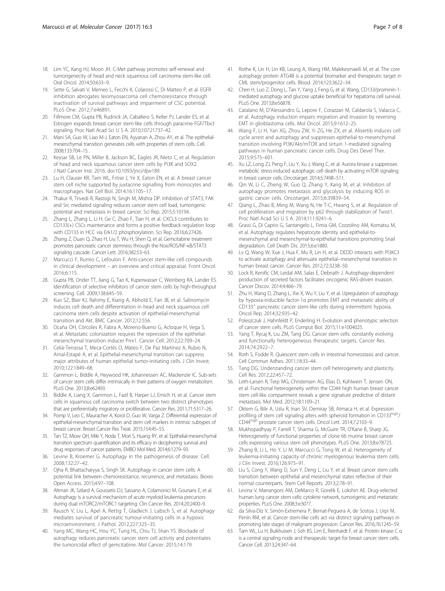- <span id="page-6-0"></span>18. Lim YC, Kang HJ, Moon JH. C-Met pathway promotes self-renewal and tumorigenecity of head and neck squamous cell carcinoma stem-like cell. Oral Oncol. 2014;50:633–9.
- 19. Sette G, Salvati V, Memeo L, Fecchi K, Colarossi C, Di Matteo P, et al. EGFR inhibition abrogates leiomyosarcoma cell chemoresistance through inactivation of survival pathways and impairment of CSC potential. PLoS One. 2012;7:e46891.
- 20. Fillmore CM, Gupta PB, Rudnick JA, Caballero S, Keller PJ, Lander ES, et al. Estrogen expands breast cancer stem-like cells through paracrine FGF/Tbx3 signaling. Proc Natl Acad Sci U S A. 2010;107:21737–42.
- 21. Mani SA, Guo W, Liao M-J, Eaton EN, Ayyanan A, Zhou AY, et al. The epithelialmesenchymal transition generates cells with properties of stem cells. Cell. 2008;133:704–15.
- 22. Keysar SB, Le PN, Miller B, Jackson BC, Eagles JR, Nieto C, et al. Regulation of head and neck squamous cancer stem cells by PI3K and SOX2. J Natl Cancer Inst. 2016. doi:[10.1093/jnci/djw189.](http://dx.doi.org/10.1093/jnci/djw189)
- 23. Lu H, Clauser KR, Tam WL, Fröse J, Ye X, Eaton EN, et al. A breast cancer stem cell niche supported by juxtacrine signalling from monocytes and macrophages. Nat Cell Biol. 2014;16:1105–17.
- 24. Thakur R, Trivedi R, Rastogi N, Singh M, Mishra DP. Inhibition of STAT3, FAK and Src mediated signaling reduces cancer stem cell load, tumorigenic potential and metastasis in breast cancer. Sci Rep. 2015;5:10194.
- 25. Zhang L, Zhang L, Li H, Ge C, Zhao F, Tian H, et al. CXCL3 contributes to CD133(+) CSCs maintenance and forms a positive feedback regulation loop with CD133 in HCC via Erk1/2 phosphorylation. Sci Rep. 2016;6:27426.
- 26. Zhang Z, Duan Q, Zhao H, Liu T, Wu H, Shen Q, et al. Gemcitabine treatment promotes pancreatic cancer stemness through the Nox/ROS/NF-κB/STAT3 signaling cascade. Cancer Lett. 2016;382:53–63.
- 27. Marcucci F, Rumio C, Lefoulon F. Anti-cancer stem-like cell compounds in clinical development – an overview and critical appraisal. Front Oncol. 2016;6:115.
- 28. Gupta PB, Onder TT, Jiang G, Tao K, Kuperwasser C, Weinberg RA, Lander ES. Identification of selective inhibitors of cancer stem cells by high-throughput screening. Cell. 2009;138:645–59.
- 29. Kuo SZ, Blair KJ, Rahimy E, Kiang A, Abhold E, Fan JB, et al. Salinomycin induces cell death and differentiation in head and neck squamous cell carcinoma stem cells despite activation of epithelial-mesenchymal transition and Akt. BMC Cancer. 2012;12:556.
- 30. Ocaña OH, Córcoles R, Fabra A, Moreno-Bueno G, Acloque H, Vega S, et al. Metastatic colonization requires the repression of the epithelialmesenchymal transition inducer Prrx1. Cancer Cell. 2012;22:709–24.
- 31. Celià-Terrassa T, Meca-Cortés O, Mateo F, De Paz Martínez A, Rubio N, Arnal-Estapé A, et al. Epithelial-mesenchymal transition can suppress major attributes of human epithelial tumor-initiating cells. J Clin Invest. 2010;122:1849–68.
- 32. Gammon L, Biddle A, Heywood HK, Johannessen AC, Mackenzie IC. Sub-sets of cancer stem cells differ intrinsically in their patterns of oxygen metabolism. PLoS One. 2013;8:e62493.
- 33. Biddle A, Liang X, Gammon L, Fazil B, Harper LJ, Emich H, et al. Cancer stem cells in squamous cell carcinoma switch between two distinct phenotypes that are preferentially migratory or proliferative. Cancer Res. 2011;71:5317–26.
- 34. Pomp V, Leo C, Mauracher A, Korol D, Guo W, Varga Z. Differential expression of epithelial-mesenchymal transition and stem cell markers in intrinsic subtypes of breast cancer. Breast Cancer Res Treat. 2015;154:45–55.
- 35. Tan TZ, Miow QH, Miki Y, Noda T, Mori S, Huang RY, et al. Epithelial-mesenchymal transition spectrum quantification and its efficacy in deciphering survival and drug responses of cancer patients. EMBO Mol Med. 2014;6:1279–93.
- 36. Levine B, Kroemer G. Autophagy in the pathogenesis of disease. Cell. 2008;132:27–42.
- 37. Ojha R, Bhattacharyya S, Singh SK. Autophagy in cancer stem cells: A potential link between chemoresistance, recurrence, and metastasis. Biores Open Access. 2015;4:97–108.
- 38. Altman JK, Szilard A, Goussetis DJ, Sassano A, Colamonici M, Gounaris E, et al. Autophagy is a survival mechanism of acute myeloid leukemia precursors during dual mTORC2/mTORC1 targeting. Clin Cancer Res. 2014;20:2400–9.
- 39. Rausch V, Liu L, Apel A, Rettig T, Gladkich J, Labsch S, et al. Autophagy mediates survival of pancreatic tumour-initiating cells in a hypoxic microenvironment. J Pathol. 2012;227:325–35.
- 40. Yang MC, Wang HC, Hou YC, Tung HL, Chiu TJ, Shan YS. Blockade of autophagy reduces pancreatic cancer stem cell activity and potentiates the tumoricidal effect of gemcitabine. Mol Cancer. 2015;14:179.
- 41. Rothe K, Lin H, Lin KB, Leung A, Wang HM, Malekesmaeili M, et al. The core autophagy protein ATG4B is a potential biomarker and therapeutic target in CML stem/progenitor cells. Blood. 2014;123:3622–34.
- 42. Chen H, Luo Z, Dong L, Tan Y, Yang J, Feng G, et al. Wang, CD133/prominin-1 mediated autophagy and glucose uptake beneficial for hepatoma cell survival. PLoS One. 2013;8:e56878.
- 43. Catalano M, D'Alessandro G, Lepore F, Corazzari M, Caldarola S, Valacca C, et al. Autophagy induction impairs migration and invasion by reversing EMT in glioblastoma cells. Mol Oncol. 2015;9:1612–25.
- 44. Wang F, Li H, Yan XG, Zhou ZW, Yi ZG, He ZX, et al. Alisertib induces cell cycle arrest and autophagy and suppresses epithelial-to-mesenchymal transition involving PI3K/Akt/mTOR and sirtuin 1-mediated signaling pathways in human pancreatic cancer cells. Drug Des Devel Ther. 2015;9:575–601.
- 45. Xu LZ, Long ZJ, Peng F, Liu Y, Xu J, Wang C, et al. Aurora kinase a suppresses metabolic stress-induced autophagic cell death by activating mTOR signaling in breast cancer cells. Oncotarget. 2014;5:7498–511.
- 46. Qin W, Li C, Zheng W, Guo Q, Zhang Y, Kang M, et al. Inhibition of autophagy promotes metastasis and glycolysis by inducing ROS in gastric cancer cells. Oncotarget. 2015;6:39839–54.
- 47. Qiang L, Zhao B, Ming M, Wang N, He T-C, Hwang S, et al. Regulation of cell proliferation and migration by p62 through stabilization of Twist1. Proc Natl Acad Sci U S A. 2014;111:9241–6.
- 48. Grassi G, Di Caprio G, Santangelo L, Fimia GM, Cozzolino AM, Komatsu M, et al. Autophagy regulates hepatocyte identity and epithelial-tomesenchymal and mesenchymal-to-epithelial transitions promoting Snail degradation. Cell Death Dis. 2015;6:e1880.
- 49. Lv Q, Wang W, Xue J, Hua F, Mu R, Lin H, et al. DEDD interacts with PI3KC3 to activate autophagy and attenuate epithelial–mesenchymal transition in human breast cancer. Cancer Res. 2012;72:3238–50.
- 50. Lock R, Kenific CM, Leidal AM, Salas E, Debnath J. Autophagy-dependent production of secreted factors facilitates oncogenic RAS-driven invasion. Cancer Discov. 2014;4:466–79.
- 51. Zhu H, Wang D, Zhang L, Xie X, Wu Y, Liu Y, et al. Upregulation of autophagy by hypoxia-inducible factor-1α promotes EMT and metastatic ability of CD133<sup>+</sup> pancreatic cancer stem-like cells during intermittent hypoxia. Oncol Rep. 2014;32:935–42.
- 52. Poleszczuk J, Hahnfeldt P, Enderling H. Evolution and phenotypic selection of cancer stem cells. PLoS Comput Biol. 2015;11:e1004025.
- 53. Yang T, Rycaj K, Liu ZM, Tang DG. Cancer stem cells: constantly evolving and functionally heterogeneous therapeutic targets. Cancer Res. 2014;74:2922–7.
- 54. Roth S, Fodde R. Quiescent stem cells in intestinal homeostasis and cancer. Cell Commun Adhes. 2011;18:33–44.
- 55. Tang DG. Understanding cancer stem cell heterogeneity and plasticity. Cell Res. 2012;22:457–72.
- 56. Leth-Larsen R, Terp MG, Christensen AG, Elias D, Kühlwein T, Jensen ON, et al. Functional heterogeneity within the CD44 high human breast cancer stem cell-like compartment reveals a gene signature predictive of distant metastasis. Mol Med. 2012;18:1109–21.
- 57. Oktem G, Bilir A, Uslu R, Inan SV, Demiray SB, Atmaca H, et al. Expression profiling of stem cell signaling alters with spheroid formation in CD133high/ CD44high prostate cancer stem cells. Oncol Lett. 2014;7:2103–9.
- 58. Mukhopadhyay P, Farrell T, Sharma G, McGuire TR, O'Kane B, Sharp JG. Heterogeneity of functional properties of clone 66 murine breast cancer cells expressing various stem cell phenotypes. PLoS One. 2013;8:e78725.
- 59. Zhang B, Li L, Ho Y, Li M, Marcucci G, Tong W, et al. Heterogeneity of leukemia-initiating capacity of chronic myelogenous leukemia stem cells. J Clin Invest. 2016;126:975–91.
- 60. Liu S, Cong Y, Wang D, Sun Y, Deng L, Liu Y, et al. Breast cancer stem cells transition between epithelial and mesenchymal states reflective of their normal counterparts. Stem Cell Reports. 2013;2:78–91.
- 61. Levina V, Marrangoni AM, DeMarco R, Gorelik E, Lokshin AE. Drug-selected human lung cancer stem cells: cytokine network, tumorigenic and metastatic properties. PLoS One. 2008;3:e3077.
- 62. da Silva-Diz V, Simón-Extremera P, Bernat-Peguera A, de Sostoa J, Urpí M, Penín RM, et al. Cancer stem-like cells act via distinct signaling pathways in promoting late stages of malignant progression. Cancer Res. 2016;76:1245–59.
- 63. Tam WL, Lu H, Buikhuisen J, Soh BS, Lim E, Reinhardt F, et al. Protein kinase C α is a central signaling node and therapeutic target for breast cancer stem cells. Cancer Cell. 2013;24:347–64.